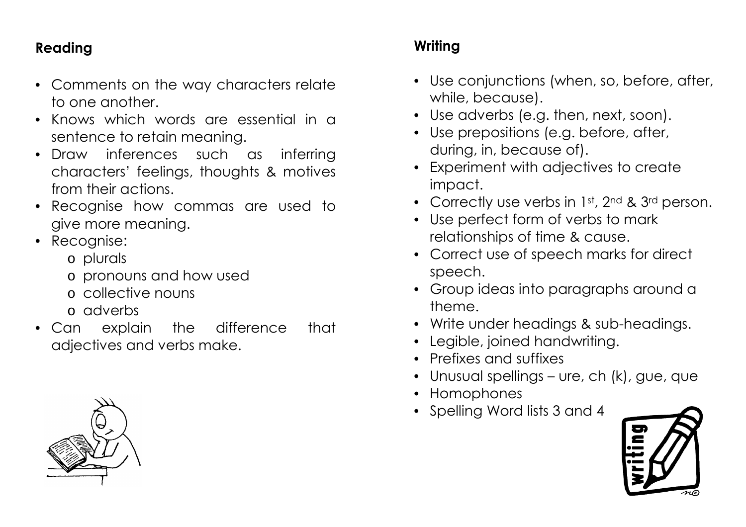## **Reading**

- Comments on the way characters relate to one another.
- Knows which words are essential in a sentence to retain meaning.
- Draw inferences such as inferring characters' feelings, thoughts & motives from their actions.
- Recognise how commas are used to give more meaning.
- Recognise:
	- o plurals
	- o pronouns and how used
	- o collective nouns
	- o adverbs
- Can explain the difference that adjectives and verbs make.

## **Writing**

- Use conjunctions (when, so, before, after, while, because).
- Use adverbs (e.g. then, next, soon).
- Use prepositions (e.g. before, after, during, in, because of).
- Experiment with adjectives to create impact.
- Correctly use verbs in 1st, 2nd & 3rd person.
- Use perfect form of verbs to mark relationships of time & cause.
- Correct use of speech marks for direct speech.
- Group ideas into paragraphs around a theme.
- Write under headings & sub-headings.
- Legible, joined handwriting.
- Prefixes and suffixes
- Unusual spellings ure, ch (k), gue, que
- Homophones
- Spelling Word lists 3 and 4